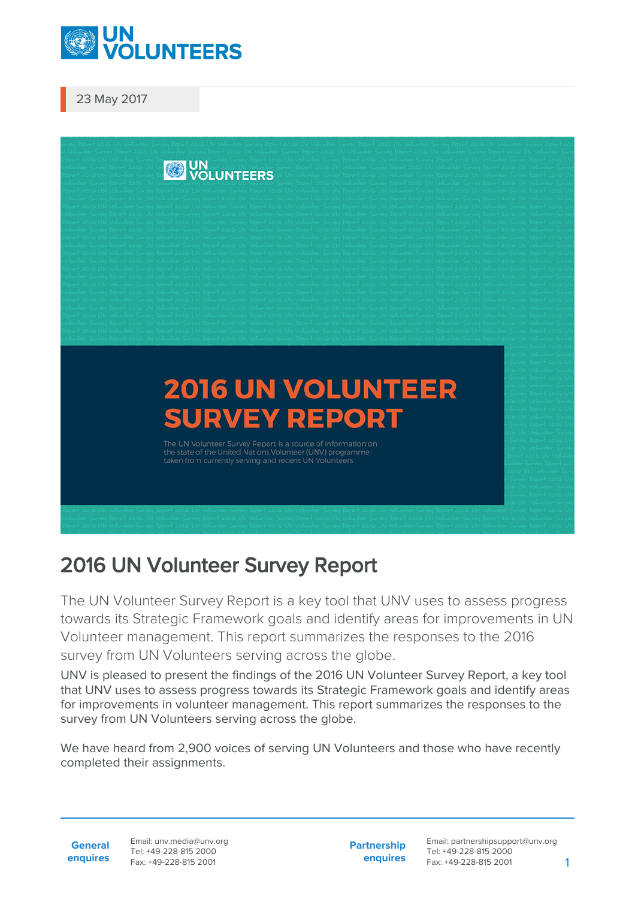

23 May 2017



## 2016 UN Volunteer Survey Report

The UN Volunteer Survey Report is a key tool that UNV uses to assess progress towards its Strategic Framework goals and identify areas for improvements in UN Volunteer management. This report summarizes the responses to the 2016 survey from UN Volunteers serving across the globe.

UNV is pleased to present the findings of the 2016 UN Volunteer Survey Report, a key tool that UNV uses to assess progress towards its Strategic Framework goals and identify areas for improvements in volunteer management. This report summarizes the responses to the survey from UN Volunteers serving across the globe.

We have heard from 2,900 voices of serving UN Volunteers and those who have recently completed their assignments.

**General enquires** **Partnership enquires**